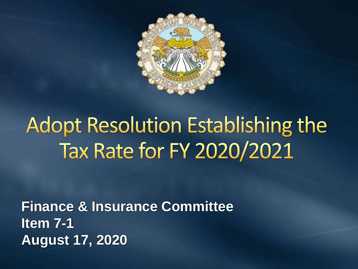

# **Adopt Resolution Establishing the** Tax Rate for FY 2020/2021

**Finance & Insurance Committee Item 7-1 August 17, 2020**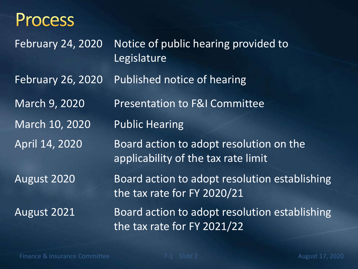#### **Process**

February 24, 2020 Notice of public hearing provided to Legislature February 26, 2020 Published notice of hearing March 9, 2020 Presentation to F&I Committee March 10, 2020 Public Hearing April 14, 2020 Board action to adopt resolution on the applicability of the tax rate limit August 2020 Board action to adopt resolution establishing the tax rate for FY 2020/21 August 2021 Board action to adopt resolution establishing the tax rate for FY 2021/22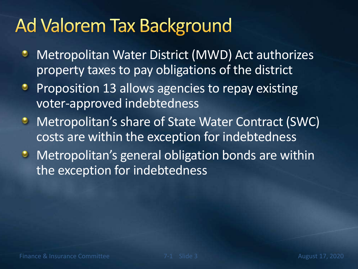## Ad Valorem Tax Background

- Metropolitan Water District (MWD) Act authorizes ۰ property taxes to pay obligations of the district
- Proposition 13 allows agencies to repay existing voter-approved indebtedness
- **Metropolitan's share of State Water Contract (SWC)** costs are within the exception for indebtedness
- **Metropolitan's general obligation bonds are within** the exception for indebtedness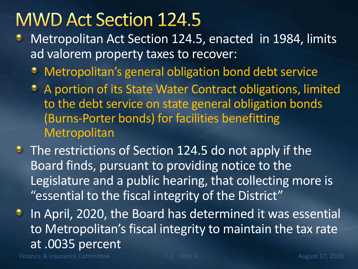#### **MWD Act Section 124.5**

- Metropolitan Act Section 124.5, enacted in 1984, limits ad valorem property taxes to recover:
	- Metropolitan's general obligation bond debt service
	- A portion of its State Water Contract obligations, limited to the debt service on state general obligation bonds (Burns-Porter bonds) for facilities benefitting **Metropolitan**
- The restrictions of Section 124.5 do not apply if the Board finds, pursuant to providing notice to the Legislature and a public hearing, that collecting more is "essential to the fiscal integrity of the District"
- **In April, 2020, the Board has determined it was essential** to Metropolitan's fiscal integrity to maintain the tax rate at .0035 percent

Finance & Insurance Committee **7-1** Slide 4 August 17, 2020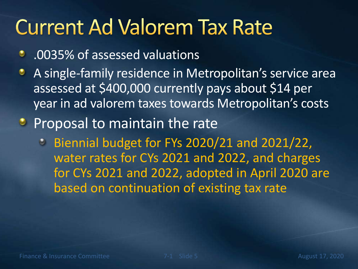## **Current Ad Valorem Tax Rate**

- .0035% of assessed valuations
- A single-family residence in Metropolitan's service area assessed at \$400,000 currently pays about \$14 per year in ad valorem taxes towards Metropolitan's costs
- **Proposal to maintain the rate** 
	- Biennial budget for FYs 2020/21 and 2021/22, water rates for CYs 2021 and 2022, and charges for CYs 2021 and 2022, adopted in April 2020 are based on continuation of existing tax rate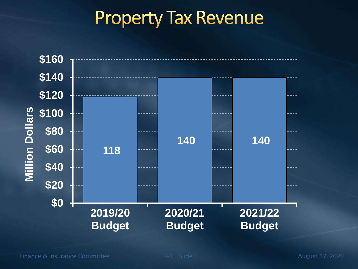#### **Property Tax Revenue**

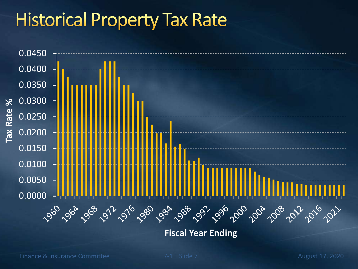### **Historical Property Tax Rate**



**Fiscal Year Ending**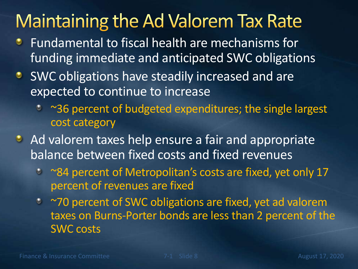#### **Maintaining the Ad Valorem Tax Rate**

- Fundamental to fiscal health are mechanisms for ۰ funding immediate and anticipated SWC obligations
- **SWC obligations have steadily increased and are** expected to continue to increase
	- ~36 percent of budgeted expenditures; the single largest cost category
- Ad valorem taxes help ensure a fair and appropriate balance between fixed costs and fixed revenues
	- <sup>•</sup> ~84 percent of Metropolitan's costs are fixed, yet only 17 percent of revenues are fixed
	- ~70 percent of SWC obligations are fixed, yet ad valorem taxes on Burns-Porter bonds are less than 2 percent of the SWC costs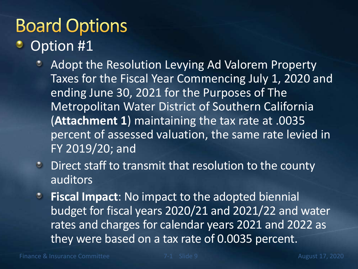# **Board Options**

- Option #1
	- Adopt the Resolution Levying Ad Valorem Property  $\bullet$ Taxes for the Fiscal Year Commencing July 1, 2020 and ending June 30, 2021 for the Purposes of The Metropolitan Water District of Southern California (**Attachment 1**) maintaining the tax rate at .0035 percent of assessed valuation, the same rate levied in FY 2019/20; and
	- Direct staff to transmit that resolution to the county  $\bullet$ auditors
	- **Fiscal Impact**: No impact to the adopted biennial  $\bullet$ budget for fiscal years 2020/21 and 2021/22 and water rates and charges for calendar years 2021 and 2022 as they were based on a tax rate of 0.0035 percent.

Finance & Insurance Committee **7-1** Slide 9 August 17, 2020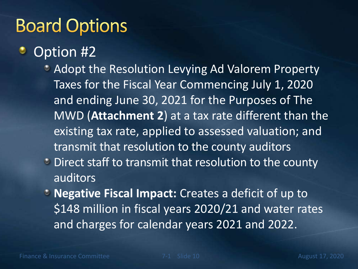### **Board Options**

#### Option #2

- **Adopt the Resolution Levying Ad Valorem Property** Taxes for the Fiscal Year Commencing July 1, 2020 and ending June 30, 2021 for the Purposes of The MWD (**Attachment 2**) at a tax rate different than the existing tax rate, applied to assessed valuation; and transmit that resolution to the county auditors
- **C** Direct staff to transmit that resolution to the county auditors
- **Negative Fiscal Impact: Creates a deficit of up to** \$148 million in fiscal years 2020/21 and water rates and charges for calendar years 2021 and 2022.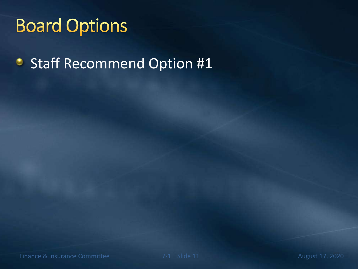### **Board Options**

Staff Recommend Option #1۰